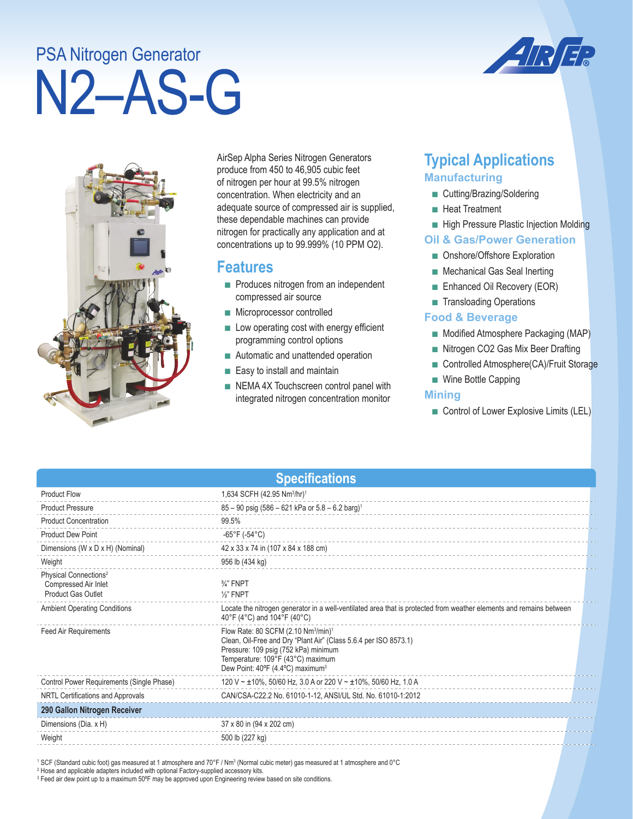# N2–AS-G PSA Nitrogen Generator





AirSep Alpha Series Nitrogen Generators produce from 450 to 46,905 cubic feet of nitrogen per hour at 99.5% nitrogen concentration. When electricity and an adequate source of compressed air is supplied, these dependable machines can provide nitrogen for practically any application and at concentrations up to 99.999% (10 PPM O2).

## **Features**

- Produces nitrogen from an independent compressed air source
- Microprocessor controlled
- Low operating cost with energy efficient programming control options
- Automatic and unattended operation
- Easy to install and maintain
- NEMA 4X Touchscreen control panel with integrated nitrogen concentration monitor

# **Typical Applications Manufacturing**

- Cutting/Brazing/Soldering
- Heat Treatment
- High Pressure Plastic Injection Molding

#### **Oil & Gas/Power Generation**

- Onshore/Offshore Exploration
- Mechanical Gas Seal Inerting
- Enhanced Oil Recovery (EOR)
- Transloading Operations

#### **Food & Beverage**

- Modified Atmosphere Packaging (MAP)
- Nitrogen CO2 Gas Mix Beer Drafting
- Controlled Atmosphere(CA)/Fruit Storage
- Wine Bottle Capping

#### **Mining**

■ Control of Lower Explosive Limits (LEL)

| <b>Specifications</b>                                                                  |                                                                                                                                                                                                                                                              |  |  |
|----------------------------------------------------------------------------------------|--------------------------------------------------------------------------------------------------------------------------------------------------------------------------------------------------------------------------------------------------------------|--|--|
| <b>Product Flow</b>                                                                    | 1,634 SCFH (42.95 Nm <sup>3</sup> /hr) <sup>1</sup>                                                                                                                                                                                                          |  |  |
| <b>Product Pressure</b>                                                                | $85 - 90$ psig (586 - 621 kPa or $5.8 - 6.2$ barg) <sup>1</sup>                                                                                                                                                                                              |  |  |
| <b>Product Concentration</b>                                                           | 99.5%                                                                                                                                                                                                                                                        |  |  |
| <b>Product Dew Point</b>                                                               | $-65^{\circ}$ F (-54 $^{\circ}$ C)                                                                                                                                                                                                                           |  |  |
| Dimensions (W x D x H) (Nominal)                                                       | 42 x 33 x 74 in (107 x 84 x 188 cm)                                                                                                                                                                                                                          |  |  |
| Weight                                                                                 | 956 lb (434 kg)                                                                                                                                                                                                                                              |  |  |
| Physical Connections <sup>2</sup><br>Compressed Air Inlet<br><b>Product Gas Outlet</b> | $\frac{3}{4}$ " FNPT<br>$\frac{1}{2}$ " FNPT                                                                                                                                                                                                                 |  |  |
| <b>Ambient Operating Conditions</b>                                                    | Locate the nitrogen generator in a well-ventilated area that is protected from weather elements and remains between<br>40°F (4°C) and 104°F (40°C)                                                                                                           |  |  |
| <b>Feed Air Requirements</b>                                                           | Flow Rate: 80 SCFM (2.10 Nm <sup>3</sup> /min) <sup>1</sup><br>Clean, Oil-Free and Dry "Plant Air" (Class 5.6.4 per ISO 8573.1)<br>Pressure: 109 psig (752 kPa) minimum<br>Temperature: 109°F (43°C) maximum<br>Dew Point: 40°F (4.4°C) maximum <sup>3</sup> |  |  |
| Control Power Requirements (Single Phase)                                              | 120 V ~ ±10%, 50/60 Hz, 3.0 A or 220 V ~ ±10%, 50/60 Hz, 1.0 A                                                                                                                                                                                               |  |  |
| NRTL Certifications and Approvals                                                      | CAN/CSA-C22.2 No. 61010-1-12, ANSI/UL Std. No. 61010-1:2012                                                                                                                                                                                                  |  |  |
| 290 Gallon Nitrogen Receiver                                                           |                                                                                                                                                                                                                                                              |  |  |
| Dimensions (Dia. x H)                                                                  | 37 x 80 in (94 x 202 cm)                                                                                                                                                                                                                                     |  |  |
| Weight                                                                                 | 500 lb (227 kg)                                                                                                                                                                                                                                              |  |  |

' SCF (Standard cubic foot) gas measured at 1 atmosphere and 70°F / Nm3 (Normal cubic meter) gas measured at 1 atmosphere and 0°C<br><sup>2</sup> Hose and applicable adapters included with optional Factory-supplied accessory kits.

3 Feed air dew point up to a maximum 50ºF may be approved upon Engineering review based on site conditions.